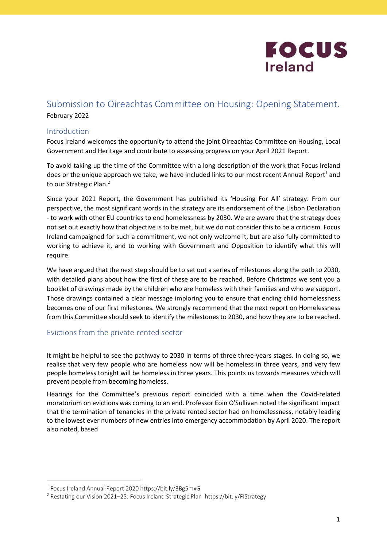

## Submission to Oireachtas Committee on Housing: Opening Statement. February 2022

#### Introduction

Focus Ireland welcomes the opportunity to attend the joint Oireachtas Committee on Housing, Local Government and Heritage and contribute to assessing progress on your April 2021 Report.

To avoid taking up the time of the Committee with a long description of the work that Focus Ireland does or the unique approach we take, we have included links to our most recent Annual Report<sup>1</sup> and to our Strategic Plan.<sup>2</sup>

Since your 2021 Report, the Government has published its 'Housing For All' strategy. From our perspective, the most significant words in the strategy are its endorsement of the Lisbon Declaration - to work with other EU countries to end homelessness by 2030. We are aware that the strategy does not set out exactly how that objective is to be met, but we do not consider this to be a criticism. Focus Ireland campaigned for such a commitment, we not only welcome it, but are also fully committed to working to achieve it, and to working with Government and Opposition to identify what this will require.

We have argued that the next step should be to set out a series of milestones along the path to 2030, with detailed plans about how the first of these are to be reached. Before Christmas we sent you a booklet of drawings made by the children who are homeless with their families and who we support. Those drawings contained a clear message imploring you to ensure that ending child homelessness becomes one of our first milestones. We strongly recommend that the next report on Homelessness from this Committee should seek to identify the milestones to 2030, and how they are to be reached.

#### Evictions from the private-rented sector

It might be helpful to see the pathway to 2030 in terms of three three-years stages. In doing so, we realise that very few people who are homeless now will be homeless in three years, and very few people homeless tonight will be homeless in three years. This points us towards measures which will prevent people from becoming homeless.

Hearings for the Committee's previous report coincided with a time when the Covid-related moratorium on evictions was coming to an end. Professor Eoin O'Sullivan noted the significant impact that the termination of tenancies in the private rented sector had on homelessness, notably leading to the lowest ever numbers of new entries into emergency accommodation by April 2020. The report also noted, based

<sup>1</sup> Focus Ireland Annual Report 2020 https://bit.ly/3Bg5mxG

<sup>&</sup>lt;sup>2</sup> Restating our Vision 2021-25: Focus Ireland Strategic Plan https://bit.ly/FIStrategy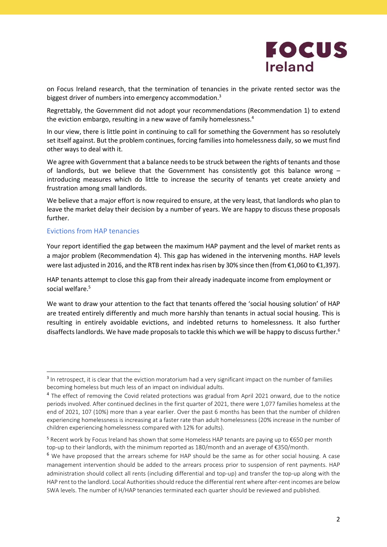

on Focus Ireland research, that the termination of tenancies in the private rented sector was the biggest driver of numbers into emergency accommodation.<sup>3</sup>

Regrettably, the Government did not adopt your recommendations (Recommendation 1) to extend the eviction embargo, resulting in a new wave of family homelessness.<sup>4</sup>

In our view, there is little point in continuing to call for something the Government has so resolutely set itself against. But the problem continues, forcing families into homelessness daily, so we must find other ways to deal with it.

We agree with Government that a balance needs to be struck between the rights of tenants and those of landlords, but we believe that the Government has consistently got this balance wrong – introducing measures which do little to increase the security of tenants yet create anxiety and frustration among small landlords.

We believe that a major effort is now required to ensure, at the very least, that landlords who plan to leave the market delay their decision by a number of years. We are happy to discuss these proposals further.

#### Evictions from HAP tenancies

Your report identified the gap between the maximum HAP payment and the level of market rents as a major problem (Recommendation 4). This gap has widened in the intervening months. HAP levels were last adjusted in 2016, and the RTB rent index has risen by 30% since then (from €1,060 to €1,397).

HAP tenants attempt to close this gap from their already inadequate income from employment or social welfare.<sup>5</sup>

We want to draw your attention to the fact that tenants offered the 'social housing solution' of HAP are treated entirely differently and much more harshly than tenants in actual social housing. This is resulting in entirely avoidable evictions, and indebted returns to homelessness. It also further disaffects landlords. We have made proposals to tackle this which we will be happy to discuss further.<sup>6</sup>

<sup>&</sup>lt;sup>3</sup> In retrospect, it is clear that the eviction moratorium had a very significant impact on the number of families becoming homeless but much less of an impact on individual adults.

<sup>&</sup>lt;sup>4</sup> The effect of removing the Covid related protections was gradual from April 2021 onward, due to the notice periods involved. After continued declines in the first quarter of 2021, there were 1,077 families homeless at the end of 2021, 107 (10%) more than a year earlier. Over the past 6 months has been that the number of children experiencing homelessness is increasing at a faster rate than adult homelessness (20% increase in the number of children experiencing homelessness compared with 12% for adults).

<sup>5</sup> Recent work by Focus Ireland has shown that some Homeless HAP tenants are paying up to €650 per month top-up to their landlords, with the minimum reported as 180/month and an average of €350/month.

<sup>&</sup>lt;sup>6</sup> We have proposed that the arrears scheme for HAP should be the same as for other social housing. A case management intervention should be added to the arrears process prior to suspension of rent payments. HAP administration should collect all rents (including differential and top-up) and transfer the top-up along with the HAP rent to the landlord. Local Authorities should reduce the differential rent where after-rent incomes are below SWA levels. The number of H/HAP tenancies terminated each quarter should be reviewed and published.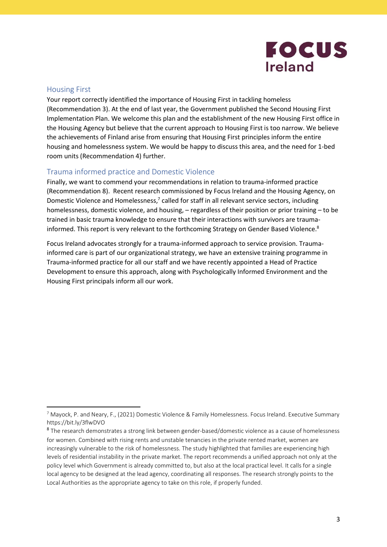# **FOCUS Ireland**

#### Housing First

Your report correctly identified the importance of Housing First in tackling homeless (Recommendation 3). At the end of last year, the Government published the Second Housing First Implementation Plan. We welcome this plan and the establishment of the new Housing First office in the Housing Agency but believe that the current approach to Housing First is too narrow. We believe the achievements of Finland arise from ensuring that Housing First principles inform the entire housing and homelessness system. We would be happy to discuss this area, and the need for 1-bed room units (Recommendation 4) further.

### Trauma informed practice and Domestic Violence

Finally, we want to commend your recommendations in relation to trauma-informed practice (Recommendation 8). Recent research commissioned by Focus Ireland and the Housing Agency, on Domestic Violence and Homelessness, $7$  called for staff in all relevant service sectors, including homelessness, domestic violence, and housing, – regardless of their position or prior training – to be trained in basic trauma knowledge to ensure that their interactions with survivors are traumainformed. This report is very relevant to the forthcoming Strategy on Gender Based Violence.<sup>8</sup>

Focus Ireland advocates strongly for a trauma-informed approach to service provision. Traumainformed care is part of our organizational strategy, we have an extensive training programme in Trauma-informed practice for all our staff and we have recently appointed a Head of Practice Development to ensure this approach, along with Psychologically Informed Environment and the Housing First principals inform all our work.

<sup>&</sup>lt;sup>7</sup> Mayock, P. and Neary, F., (2021) Domestic Violence & Family Homelessness. Focus Ireland. Executive Summary https://bit.ly/3flwDVO

<sup>8</sup> The research demonstrates a strong link between gender-based/domestic violence as a cause of homelessness for women. Combined with rising rents and unstable tenancies in the private rented market, women are increasingly vulnerable to the risk of homelessness. The study highlighted that families are experiencing high levels of residential instability in the private market. The report recommends a unified approach not only at the policy level which Government is already committed to, but also at the local practical level. It calls for a single local agency to be designed at the lead agency, coordinating all responses. The research strongly points to the Local Authorities as the appropriate agency to take on this role, if properly funded.